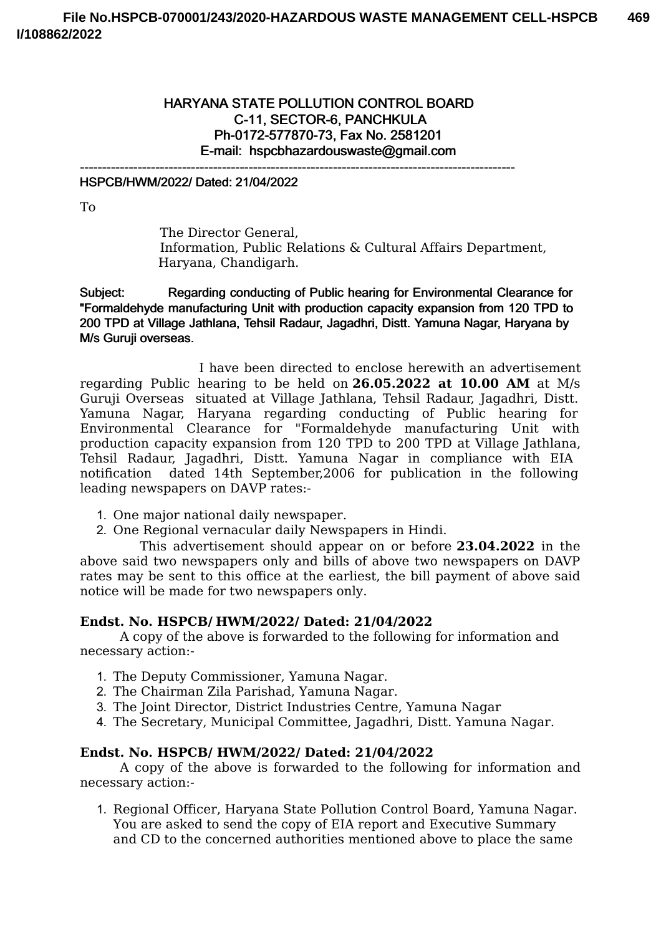# HARYANA STATE POLLUTION CONTROL BOARD C-11, SECTOR-6, PANCHKULA Ph-0172-577870-73, Fax No. 2581201 E-mail: hspcbhazardouswaste@gmail.com

--------------------------------------------------------------------------------------------------

### HSPCB/HWM/2022/ Dated: 21/04/2022

To

The Director General, Information, Public Relations & Cultural Affairs Department, Haryana, Chandigarh.

Subject: Regarding conducting of Public hearing for Environmental Clearance for "Formaldehyde manufacturing Unit with production capacity expansion from 120 TPD to 200 TPD at Village Jathlana, Tehsil Radaur, Jagadhri, Distt. Yamuna Nagar, Haryana by M/s Guruji overseas.

I have been directed to enclose herewith an advertisement regarding Public hearing to be held on **26.05.2022 at 10.00 AM** at M/s Guruji Overseas situated at Village Jathlana, Tehsil Radaur, Jagadhri, Distt. Yamuna Nagar, Haryana regarding conducting of Public hearing for Environmental Clearance for "Formaldehyde manufacturing Unit with production capacity expansion from 120 TPD to 200 TPD at Village Jathlana, Tehsil Radaur, Jagadhri, Distt. Yamuna Nagar in compliance with EIA notification dated 14th September,2006 for publication in the following leading newspapers on DAVP rates:-

- 1. One major national daily newspaper.
- 2. One Regional vernacular daily Newspapers in Hindi.

This advertisement should appear on or before **23.04.2022** in the above said two newspapers only and bills of above two newspapers on DAVP rates may be sent to this office at the earliest, the bill payment of above said notice will be made for two newspapers only.

### **Endst. No. HSPCB/ HWM/2022/ Dated: 21/04/2022**

A copy of the above is forwarded to the following for information and necessary action:-

- 1. The Deputy Commissioner, Yamuna Nagar.
- 2. The Chairman Zila Parishad, Yamuna Nagar.
- 3. The Joint Director, District Industries Centre, Yamuna Nagar
- 4. The Secretary, Municipal Committee, Jagadhri, Distt. Yamuna Nagar.

### **Endst. No. HSPCB/ HWM/2022/ Dated: 21/04/2022**

A copy of the above is forwarded to the following for information and necessary action:-

1. Regional Officer, Haryana State Pollution Control Board, Yamuna Nagar. You are asked to send the copy of EIA report and Executive Summary and CD to the concerned authorities mentioned above to place the same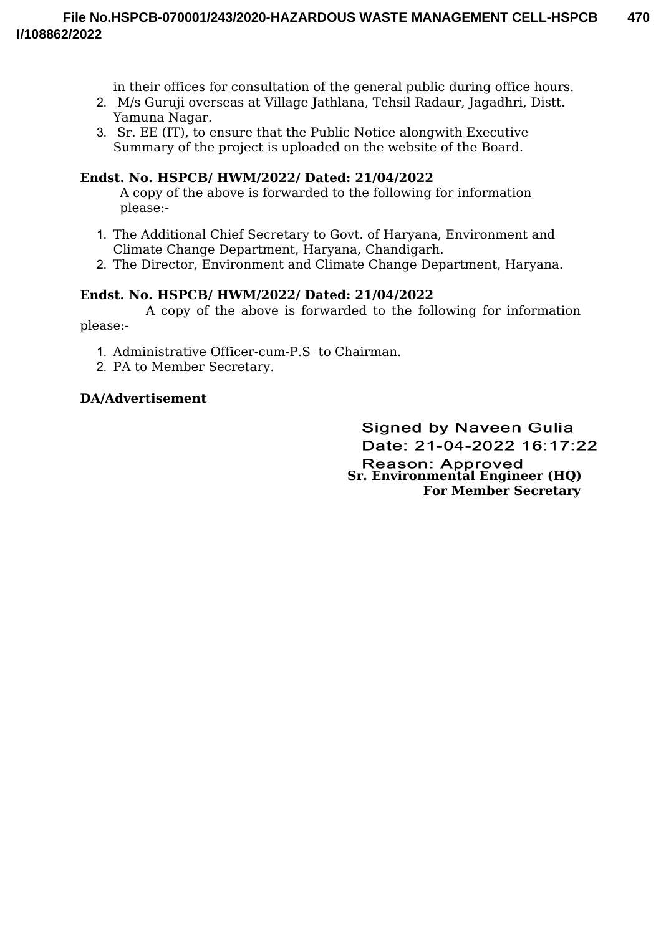in their offices for consultation of the general public during office hours.

- 2. M/s Guruji overseas at Village Jathlana, Tehsil Radaur, Jagadhri, Distt. Yamuna Nagar.
- 3. Sr. EE (IT), to ensure that the Public Notice alongwith Executive Summary of the project is uploaded on the website of the Board.

# **Endst. No. HSPCB/ HWM/2022/ Dated: 21/04/2022**

A copy of the above is forwarded to the following for information please:-

- 1. The Additional Chief Secretary to Govt. of Haryana, Environment and Climate Change Department, Haryana, Chandigarh.
- 2. The Director, Environment and Climate Change Department, Haryana.

## **Endst. No. HSPCB/ HWM/2022/ Dated: 21/04/2022**

A copy of the above is forwarded to the following for information please:-

- 1. Administrative Officer-cum-P.S to Chairman.
- 2. PA to Member Secretary.

## **DA/Advertisement**

**Signed by Naveen Gulia** Date: 21-04-2022 16:17:22 **Reason: Approved Sr. Environmental Engineer (HQ) For Member Secretary**